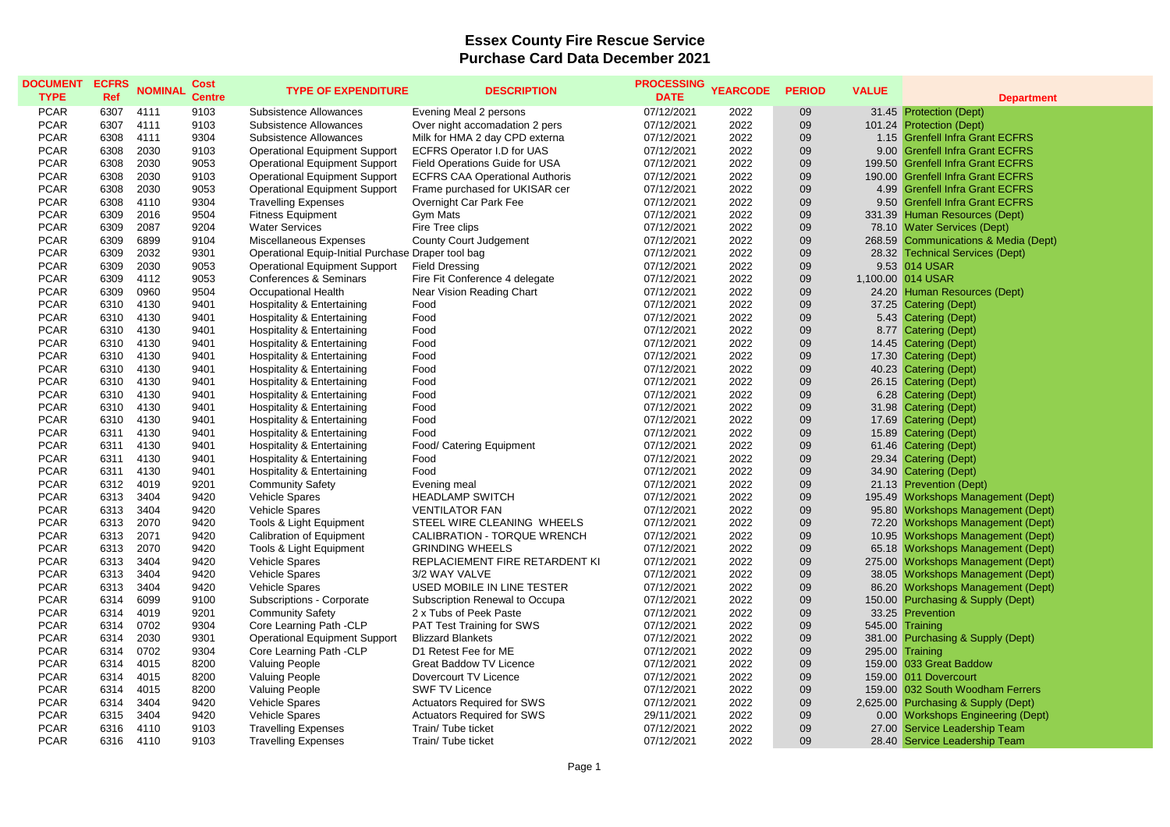## **Essex County Fire Rescue Service Purchase Card Data December 2021**

| <b>DOCUMENT</b><br><b>TYPE</b> | <b>ECFRS</b><br>Ref | <b>NOMINAL</b> | <b>Cost</b><br><b>Centre</b> | <b>TYPE OF EXPENDITURE</b>                         | <b>DESCRIPTION</b>                    | <b>PROCESSING</b><br><b>DATE</b> | <b>YEARCODE</b> | <b>PERIOD</b> | <b>VALUE</b> | <b>Department</b>                    |
|--------------------------------|---------------------|----------------|------------------------------|----------------------------------------------------|---------------------------------------|----------------------------------|-----------------|---------------|--------------|--------------------------------------|
| <b>PCAR</b>                    | 6307                | 4111           | 9103                         | Subsistence Allowances                             | Evening Meal 2 persons                | 07/12/2021                       | 2022            | 09            |              | 31.45 Protection (Dept)              |
| <b>PCAR</b>                    | 6307                | 4111           | 9103                         | Subsistence Allowances                             | Over night accomadation 2 pers        | 07/12/2021                       | 2022            | 09            |              | 101.24 Protection (Dept)             |
| <b>PCAR</b>                    | 6308                | 4111           | 9304                         | Subsistence Allowances                             | Milk for HMA 2 day CPD externa        | 07/12/2021                       | 2022            | 09            |              | 1.15 Grenfell Infra Grant ECFRS      |
| <b>PCAR</b>                    | 6308                | 2030           | 9103                         | <b>Operational Equipment Support</b>               | <b>ECFRS Operator I.D for UAS</b>     | 07/12/2021                       | 2022            | 09            |              | 9.00 Grenfell Infra Grant ECFRS      |
| <b>PCAR</b>                    | 6308                | 2030           | 9053                         | <b>Operational Equipment Support</b>               | Field Operations Guide for USA        | 07/12/2021                       | 2022            | 09            |              | 199.50 Grenfell Infra Grant ECFRS    |
| <b>PCAR</b>                    | 6308                | 2030           | 9103                         | <b>Operational Equipment Support</b>               | <b>ECFRS CAA Operational Authoris</b> | 07/12/2021                       | 2022            | 09            |              | 190.00 Grenfell Infra Grant ECFRS    |
| <b>PCAR</b>                    | 6308                | 2030           | 9053                         | <b>Operational Equipment Support</b>               | Frame purchased for UKISAR cer        | 07/12/2021                       | 2022            | 09            |              | 4.99 Grenfell Infra Grant ECFRS      |
| <b>PCAR</b>                    | 6308                | 4110           | 9304                         | <b>Travelling Expenses</b>                         | Overnight Car Park Fee                | 07/12/2021                       | 2022            | 09            |              | 9.50 Grenfell Infra Grant ECFRS      |
| <b>PCAR</b>                    | 6309                | 2016           | 9504                         | <b>Fitness Equipment</b>                           | Gym Mats                              | 07/12/2021                       | 2022            | 09            |              | 331.39 Human Resources (Dept)        |
| <b>PCAR</b>                    | 6309                | 2087           | 9204                         | <b>Water Services</b>                              | Fire Tree clips                       | 07/12/2021                       | 2022            | 09            |              | 78.10 Water Services (Dept)          |
| <b>PCAR</b>                    | 6309                | 6899           | 9104                         | Miscellaneous Expenses                             | County Court Judgement                | 07/12/2021                       | 2022            | 09            |              | 268.59 Communications & Media (Dept) |
| <b>PCAR</b>                    | 6309                | 2032           | 9301                         | Operational Equip-Initial Purchase Draper tool bag |                                       | 07/12/2021                       | 2022            | 09            |              | 28.32 Technical Services (Dept)      |
| <b>PCAR</b>                    | 6309                | 2030           | 9053                         | <b>Operational Equipment Support</b>               | <b>Field Dressing</b>                 | 07/12/2021                       | 2022            | 09            |              | 9.53 014 USAR                        |
| <b>PCAR</b>                    | 6309                | 4112           | 9053                         | <b>Conferences &amp; Seminars</b>                  | Fire Fit Conference 4 delegate        | 07/12/2021                       | 2022            | 09            |              | 1,100.00 014 USAR                    |
| <b>PCAR</b>                    | 6309                | 0960           | 9504                         | Occupational Health                                | Near Vision Reading Chart             | 07/12/2021                       | 2022            | 09            |              | 24.20 Human Resources (Dept)         |
| <b>PCAR</b>                    | 6310                | 4130           | 9401                         | <b>Hospitality &amp; Entertaining</b>              | Food                                  | 07/12/2021                       | 2022            | 09            | 37.25        | Catering (Dept)                      |
| <b>PCAR</b>                    | 6310                | 4130           | 9401                         | <b>Hospitality &amp; Entertaining</b>              | Food                                  | 07/12/2021                       | 2022            | 09            |              | 5.43 Catering (Dept)                 |
| <b>PCAR</b>                    | 6310                | 4130           | 9401                         | <b>Hospitality &amp; Entertaining</b>              | Food                                  | 07/12/2021                       | 2022            | 09            |              | 8.77 Catering (Dept)                 |
| <b>PCAR</b>                    | 6310                | 4130           | 9401                         | <b>Hospitality &amp; Entertaining</b>              | Food                                  | 07/12/2021                       | 2022            | 09            |              | 14.45 Catering (Dept)                |
| <b>PCAR</b>                    | 6310                | 4130           | 9401                         | <b>Hospitality &amp; Entertaining</b>              | Food                                  | 07/12/2021                       | 2022            | 09            |              | 17.30 Catering (Dept)                |
| <b>PCAR</b>                    | 6310                | 4130           | 9401                         | Hospitality & Entertaining                         | Food                                  | 07/12/2021                       | 2022            | 09            |              | 40.23 Catering (Dept)                |
| <b>PCAR</b>                    | 6310                | 4130           | 9401                         | Hospitality & Entertaining                         | Food                                  | 07/12/2021                       | 2022            | 09            |              | 26.15 Catering (Dept)                |
| <b>PCAR</b>                    | 6310                | 4130           | 9401                         | <b>Hospitality &amp; Entertaining</b>              | Food                                  | 07/12/2021                       | 2022            | 09            |              | 6.28 Catering (Dept)                 |
| <b>PCAR</b>                    | 6310                | 4130           | 9401                         | <b>Hospitality &amp; Entertaining</b>              | Food                                  | 07/12/2021                       | 2022            | 09            |              | 31.98 Catering (Dept)                |
| <b>PCAR</b>                    | 6310                | 4130           | 9401                         | <b>Hospitality &amp; Entertaining</b>              | Food                                  | 07/12/2021                       | 2022            | 09            |              | 17.69 Catering (Dept)                |
| <b>PCAR</b>                    | 6311                | 4130           | 9401                         | Hospitality & Entertaining                         | Food                                  | 07/12/2021                       | 2022            | 09            |              | 15.89 Catering (Dept)                |
| <b>PCAR</b>                    | 6311                | 4130           | 9401                         | Hospitality & Entertaining                         | Food/ Catering Equipment              | 07/12/2021                       | 2022            | 09            |              | 61.46 Catering (Dept)                |
| <b>PCAR</b>                    | 6311                | 4130           | 9401                         | <b>Hospitality &amp; Entertaining</b>              | Food                                  | 07/12/2021                       | 2022            | 09            |              | 29.34 Catering (Dept)                |
| <b>PCAR</b>                    | 6311                | 4130           | 9401                         | <b>Hospitality &amp; Entertaining</b>              | Food                                  | 07/12/2021                       | 2022            | 09            |              | 34.90 Catering (Dept)                |
| <b>PCAR</b>                    | 6312                | 4019           | 9201                         | <b>Community Safety</b>                            | Evening meal                          | 07/12/2021                       | 2022            | 09            |              | 21.13 Prevention (Dept)              |
| <b>PCAR</b>                    | 6313                | 3404           | 9420                         | Vehicle Spares                                     | <b>HEADLAMP SWITCH</b>                | 07/12/2021                       | 2022            | 09            |              | 195.49 Workshops Management (Dept)   |
| <b>PCAR</b>                    | 6313                | 3404           | 9420                         | <b>Vehicle Spares</b>                              | <b>VENTILATOR FAN</b>                 | 07/12/2021                       | 2022            | 09            |              | 95.80 Workshops Management (Dept)    |
| <b>PCAR</b>                    | 6313                | 2070           | 9420                         | Tools & Light Equipment                            | STEEL WIRE CLEANING WHEELS            | 07/12/2021                       | 2022            | 09            |              | 72.20 Workshops Management (Dept)    |
| <b>PCAR</b>                    | 6313                | 2071           | 9420                         | <b>Calibration of Equipment</b>                    | CALIBRATION - TORQUE WRENCH           | 07/12/2021                       | 2022            | 09            |              | 10.95 Workshops Management (Dept)    |
| <b>PCAR</b>                    | 6313                | 2070           | 9420                         | Tools & Light Equipment                            | <b>GRINDING WHEELS</b>                | 07/12/2021                       | 2022            | 09            |              | 65.18 Workshops Management (Dept)    |
| <b>PCAR</b>                    | 6313                | 3404           | 9420                         | Vehicle Spares                                     | REPLACIEMENT FIRE RETARDENT KI        | 07/12/2021                       | 2022            | 09            |              | 275.00 Workshops Management (Dept)   |
| <b>PCAR</b>                    | 6313                | 3404           | 9420                         | Vehicle Spares                                     | 3/2 WAY VALVE                         | 07/12/2021                       | 2022            | 09            |              | 38.05 Workshops Management (Dept)    |
| <b>PCAR</b>                    | 6313                | 3404           | 9420                         | Vehicle Spares                                     | USED MOBILE IN LINE TESTER            | 07/12/2021                       | 2022            | 09            |              | 86.20 Workshops Management (Dept)    |
| <b>PCAR</b>                    | 6314                | 6099           | 9100                         | Subscriptions - Corporate                          | Subscription Renewal to Occupa        | 07/12/2021                       | 2022            | 09            | 150.00       | Purchasing & Supply (Dept)           |
| <b>PCAR</b>                    | 6314                | 4019           | 9201                         | <b>Community Safety</b>                            | 2 x Tubs of Peek Paste                | 07/12/2021                       | 2022            | 09            |              | 33.25 Prevention                     |
| <b>PCAR</b>                    | 6314                | 0702           | 9304                         | Core Learning Path -CLP                            | PAT Test Training for SWS             | 07/12/2021                       | 2022            | 09            |              | 545.00 Training                      |
| <b>PCAR</b>                    | 6314                | 2030           | 9301                         | <b>Operational Equipment Support</b>               | <b>Blizzard Blankets</b>              | 07/12/2021                       | 2022            | 09            |              | 381.00 Purchasing & Supply (Dept)    |
| <b>PCAR</b>                    | 6314                | 0702           | 9304                         | Core Learning Path -CLP                            | D1 Retest Fee for ME                  | 07/12/2021                       | 2022            | 09            |              | 295.00 Training                      |
| <b>PCAR</b>                    | 6314                | 4015           | 8200                         | <b>Valuing People</b>                              | <b>Great Baddow TV Licence</b>        | 07/12/2021                       | 2022            | 09            |              | 159.00 033 Great Baddow              |
| <b>PCAR</b>                    | 6314                | 4015           | 8200                         | <b>Valuing People</b>                              | Dovercourt TV Licence                 | 07/12/2021                       | 2022            | 09            |              | 159.00 011 Dovercourt                |
| <b>PCAR</b>                    | 6314                | 4015           | 8200                         | <b>Valuing People</b>                              | <b>SWF TV Licence</b>                 | 07/12/2021                       | 2022            | 09            |              | 159.00 032 South Woodham Ferrers     |
| <b>PCAR</b>                    | 6314                | 3404           | 9420                         | Vehicle Spares                                     | <b>Actuators Required for SWS</b>     | 07/12/2021                       | 2022            | 09            |              | 2,625.00 Purchasing & Supply (Dept)  |
| <b>PCAR</b>                    | 6315                | 3404           | 9420                         | Vehicle Spares                                     | <b>Actuators Required for SWS</b>     | 29/11/2021                       | 2022            | 09            |              | 0.00 Workshops Engineering (Dept)    |
| <b>PCAR</b>                    | 6316                | 4110           | 9103                         | <b>Travelling Expenses</b>                         | Train/ Tube ticket                    | 07/12/2021                       | 2022            | 09            |              | 27.00 Service Leadership Team        |
| <b>PCAR</b>                    | 6316                | 4110           | 9103                         | <b>Travelling Expenses</b>                         | Train/ Tube ticket                    | 07/12/2021                       | 2022            | 09            |              | 28.40 Service Leadership Team        |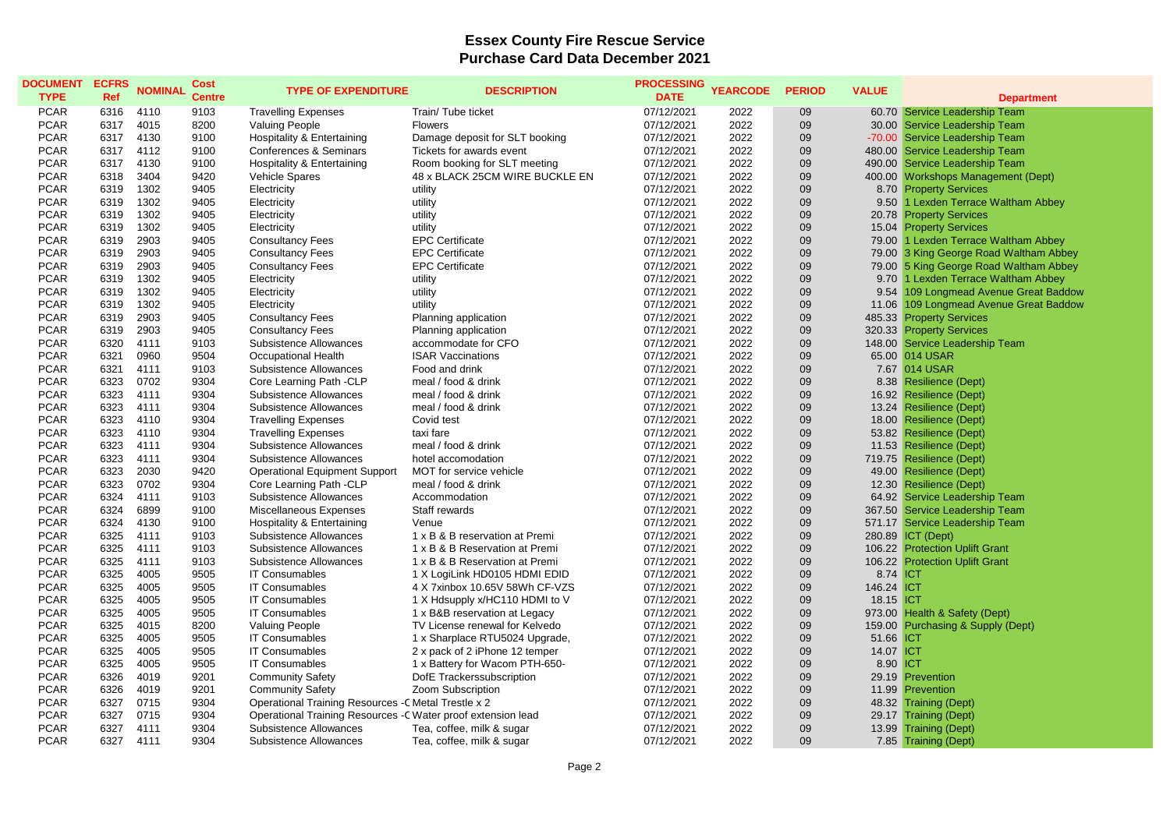## **Essex County Fire Rescue Service Purchase Card Data December 2021**

| <b>DOCUMENT</b><br><b>TYPE</b> | <b>ECFRS</b><br>Ref | <b>NOMINAL</b> | Cost<br><b>Centre</b> | <b>TYPE OF EXPENDITURE</b>                                    | <b>DESCRIPTION</b>             | <b>PROCESSING</b><br><b>DATE</b> | <b>YEARCODE</b> | <b>PERIOD</b> | <b>VALUE</b> |                                        |
|--------------------------------|---------------------|----------------|-----------------------|---------------------------------------------------------------|--------------------------------|----------------------------------|-----------------|---------------|--------------|----------------------------------------|
|                                |                     |                |                       |                                                               |                                |                                  |                 |               |              | <b>Department</b>                      |
| <b>PCAR</b>                    | 6316                | 4110           | 9103                  | <b>Travelling Expenses</b>                                    | Train/ Tube ticket             | 07/12/2021                       | 2022            | 09            |              | 60.70 Service Leadership Team          |
| <b>PCAR</b>                    | 6317                | 4015           | 8200                  | <b>Valuing People</b>                                         | <b>Flowers</b>                 | 07/12/2021                       | 2022            | 09            |              | 30.00 Service Leadership Team          |
| <b>PCAR</b>                    | 6317                | 4130           | 9100                  | Hospitality & Entertaining                                    | Damage deposit for SLT booking | 07/12/2021                       | 2022            | 09            |              | -70.00 Service Leadership Team         |
| <b>PCAR</b>                    | 6317                | 4112           | 9100                  | Conferences & Seminars                                        | Tickets for awards event       | 07/12/2021                       | 2022            | 09            |              | 480.00 Service Leadership Team         |
| <b>PCAR</b>                    | 6317                | 4130           | 9100                  | <b>Hospitality &amp; Entertaining</b>                         | Room booking for SLT meeting   | 07/12/2021                       | 2022            | 09            |              | 490.00 Service Leadership Team         |
| <b>PCAR</b>                    | 6318                | 3404           | 9420                  | Vehicle Spares                                                | 48 x BLACK 25CM WIRE BUCKLE EN | 07/12/2021                       | 2022            | 09            |              | 400.00 Workshops Management (Dept)     |
| <b>PCAR</b>                    | 6319                | 1302           | 9405                  | Electricity                                                   | utility                        | 07/12/2021                       | 2022            | 09            |              | 8.70 Property Services                 |
| <b>PCAR</b>                    | 6319                | 1302           | 9405                  | Electricity                                                   | utility                        | 07/12/2021                       | 2022            | 09            |              | 9.50 1 Lexden Terrace Waltham Abbey    |
| <b>PCAR</b>                    | 6319                | 1302           | 9405                  | Electricity                                                   | utility                        | 07/12/2021                       | 2022            | 09            |              | 20.78 Property Services                |
| <b>PCAR</b>                    | 6319                | 1302           | 9405                  | Electricity                                                   | utility                        | 07/12/2021                       | 2022            | 09            |              | 15.04 Property Services                |
| <b>PCAR</b>                    | 6319                | 2903           | 9405                  | <b>Consultancy Fees</b>                                       | <b>EPC Certificate</b>         | 07/12/2021                       | 2022            | 09            |              | 79.00 1 Lexden Terrace Waltham Abbey   |
| <b>PCAR</b>                    | 6319                | 2903           | 9405                  | <b>Consultancy Fees</b>                                       | <b>EPC Certificate</b>         | 07/12/2021                       | 2022            | 09            |              | 79.00 3 King George Road Waltham Abbey |
| <b>PCAR</b>                    | 6319                | 2903           | 9405                  | <b>Consultancy Fees</b>                                       | <b>EPC Certificate</b>         | 07/12/2021                       | 2022            | 09            |              | 79.00 5 King George Road Waltham Abbey |
| <b>PCAR</b>                    | 6319                | 1302           | 9405                  | Electricity                                                   | utility                        | 07/12/2021                       | 2022            | 09            |              | 9.70 1 Lexden Terrace Waltham Abbey    |
| <b>PCAR</b>                    | 6319                | 1302           | 9405                  | Electricity                                                   | utility                        | 07/12/2021                       | 2022            | 09            |              | 9.54 109 Longmead Avenue Great Baddow  |
| <b>PCAR</b>                    | 6319                | 1302           | 9405                  | Electricity                                                   | utility                        | 07/12/2021                       | 2022            | 09            | 11.06        | 109 Longmead Avenue Great Baddow       |
| <b>PCAR</b>                    | 6319                | 2903           | 9405                  | <b>Consultancy Fees</b>                                       | Planning application           | 07/12/2021                       | 2022            | 09            |              | 485.33 Property Services               |
| <b>PCAR</b>                    | 6319                | 2903           | 9405                  | <b>Consultancy Fees</b>                                       | Planning application           | 07/12/2021                       | 2022            | 09            |              | 320.33 Property Services               |
| <b>PCAR</b>                    | 6320                | 4111           | 9103                  | Subsistence Allowances                                        | accommodate for CFO            | 07/12/2021                       | 2022            | 09            |              | 148.00 Service Leadership Team         |
| <b>PCAR</b>                    | 6321                | 0960           | 9504                  | Occupational Health                                           | <b>ISAR Vaccinations</b>       | 07/12/2021                       | 2022            | 09            |              | 65.00 014 USAR                         |
| <b>PCAR</b>                    | 6321                | 4111           | 9103                  | Subsistence Allowances                                        | Food and drink                 | 07/12/2021                       | 2022            | 09            |              | 7.67 014 USAR                          |
| <b>PCAR</b>                    | 6323                | 0702           | 9304                  | Core Learning Path -CLP                                       | meal / food & drink            | 07/12/2021                       | 2022            | 09            |              | 8.38 Resilience (Dept)                 |
| <b>PCAR</b>                    | 6323                | 4111           | 9304                  | Subsistence Allowances                                        | meal / food & drink            | 07/12/2021                       | 2022            | 09            |              | 16.92 Resilience (Dept)                |
| <b>PCAR</b>                    | 6323                | 4111           | 9304                  | Subsistence Allowances                                        | meal / food & drink            | 07/12/2021                       | 2022            | 09            |              | 13.24 Resilience (Dept)                |
| <b>PCAR</b>                    | 6323                | 4110           | 9304                  | <b>Travelling Expenses</b>                                    | Covid test                     | 07/12/2021                       | 2022            | 09            |              | 18.00 Resilience (Dept)                |
| <b>PCAR</b>                    | 6323                | 4110           | 9304                  | <b>Travelling Expenses</b>                                    | taxi fare                      | 07/12/2021                       | 2022            | 09            |              | 53.82 Resilience (Dept)                |
| <b>PCAR</b>                    | 6323                | 4111           | 9304                  | Subsistence Allowances                                        | meal / food & drink            | 07/12/2021                       | 2022            | 09            |              | 11.53 Resilience (Dept)                |
| <b>PCAR</b>                    | 6323                | 4111           | 9304                  | Subsistence Allowances                                        | hotel accomodation             | 07/12/2021                       | 2022            | 09            |              | 719.75 Resilience (Dept)               |
| <b>PCAR</b>                    | 6323                | 2030           | 9420                  | <b>Operational Equipment Support</b>                          | MOT for service vehicle        | 07/12/2021                       | 2022            | 09            | 49.00        | <b>Resilience (Dept)</b>               |
| <b>PCAR</b>                    | 6323                | 0702           | 9304                  | Core Learning Path -CLP                                       | meal / food & drink            | 07/12/2021                       | 2022            | 09            | 12.30        | <b>Resilience (Dept)</b>               |
| <b>PCAR</b>                    | 6324                | 4111           | 9103                  | Subsistence Allowances                                        | Accommodation                  | 07/12/2021                       | 2022            | 09            | 64.92        | Service Leadership Team                |
| <b>PCAR</b>                    | 6324                | 6899           | 9100                  | Miscellaneous Expenses                                        | Staff rewards                  | 07/12/2021                       | 2022            | 09            |              | 367.50 Service Leadership Team         |
| <b>PCAR</b>                    | 6324                | 4130           | 9100                  | Hospitality & Entertaining                                    | Venue                          | 07/12/2021                       | 2022            | 09            |              | 571.17 Service Leadership Team         |
| <b>PCAR</b>                    | 6325                | 4111           | 9103                  | Subsistence Allowances                                        | 1 x B & B reservation at Premi | 07/12/2021                       | 2022            | 09            |              | 280.89 ICT (Dept)                      |
| <b>PCAR</b>                    | 6325                | 4111           | 9103                  | Subsistence Allowances                                        | 1 x B & B Reservation at Premi | 07/12/2021                       | 2022            | 09            |              | 106.22 Protection Uplift Grant         |
| <b>PCAR</b>                    | 6325                | 4111           | 9103                  | Subsistence Allowances                                        | 1 x B & B Reservation at Premi | 07/12/2021                       | 2022            | 09            |              | 106.22 Protection Uplift Grant         |
| <b>PCAR</b>                    | 6325                | 4005           | 9505                  | <b>IT Consumables</b>                                         | 1 X LogiLink HD0105 HDMI EDID  | 07/12/2021                       | 2022            | 09            | 8.74 ICT     |                                        |
| <b>PCAR</b>                    | 6325                | 4005           | 9505                  | <b>IT Consumables</b>                                         | 4 X 7xinbox 10.65V 58Wh CF-VZS | 07/12/2021                       | 2022            | 09            | 146.24 ICT   |                                        |
| <b>PCAR</b><br><b>PCAR</b>     | 6325<br>6325        | 4005           | 9505<br>9505          | <b>IT Consumables</b>                                         | 1 X Hdsupply x/HC110 HDMI to V | 07/12/2021                       | 2022            | 09<br>09      | 18.15 ICT    |                                        |
|                                |                     | 4005           |                       | <b>IT Consumables</b>                                         | 1 x B&B reservation at Legacy  | 07/12/2021                       | 2022            |               |              | 973.00 Health & Safety (Dept)          |
| <b>PCAR</b>                    | 6325                | 4015           | 8200                  | Valuing People                                                | TV License renewal for Kelvedo | 07/12/2021                       | 2022            | 09            |              | 159.00 Purchasing & Supply (Dept)      |
| <b>PCAR</b>                    | 6325                | 4005           | 9505                  | <b>IT Consumables</b>                                         | 1 x Sharplace RTU5024 Upgrade, | 07/12/2021                       | 2022            | 09            | 51.66 ICT    |                                        |
| <b>PCAR</b>                    | 6325                | 4005           | 9505                  | <b>IT Consumables</b>                                         | 2 x pack of 2 iPhone 12 temper | 07/12/2021                       | 2022            | 09            | 14.07 ICT    |                                        |
| <b>PCAR</b>                    | 6325                | 4005           | 9505                  | <b>IT Consumables</b>                                         | 1 x Battery for Wacom PTH-650- | 07/12/2021                       | 2022            | 09            | 8.90 ICT     |                                        |
| <b>PCAR</b>                    | 6326                | 4019           | 9201                  | <b>Community Safety</b>                                       | DofE Trackerssubscription      | 07/12/2021                       | 2022            | 09            |              | 29.19 Prevention                       |
| <b>PCAR</b>                    | 6326                | 4019           | 9201                  | <b>Community Safety</b>                                       | Zoom Subscription              | 07/12/2021                       | 2022            | 09            |              | 11.99 Prevention                       |
| <b>PCAR</b>                    | 6327                | 0715           | 9304                  | Operational Training Resources - C Metal Trestle x 2          |                                | 07/12/2021                       | 2022            | 09            | 48.32        | <b>Training (Dept)</b>                 |
| <b>PCAR</b>                    | 6327                | 0715           | 9304                  | Operational Training Resources - C Water proof extension lead |                                | 07/12/2021                       | 2022            | 09            |              | 29.17 Training (Dept)                  |
| <b>PCAR</b>                    | 6327                | 4111           | 9304                  | Subsistence Allowances                                        | Tea, coffee, milk & sugar      | 07/12/2021                       | 2022            | 09            |              | 13.99 Training (Dept)                  |
| <b>PCAR</b>                    | 6327                | 4111           | 9304                  | Subsistence Allowances                                        | Tea, coffee, milk & sugar      | 07/12/2021                       | 2022            | 09            |              | 7.85 Training (Dept)                   |